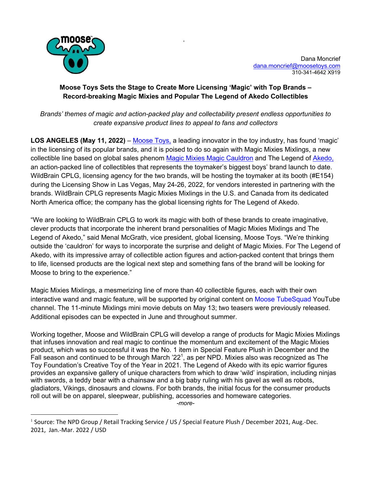

## **Moose Toys Sets the Stage to Create More Licensing 'Magic' with Top Brands – Record-breaking Magic Mixies and Popular The Legend of Akedo Collectibles**

'

*Brands' themes of magic and action-packed play and collectability present endless opportunities to create expansive product lines to appeal to fans and collectors* 

**LOS ANGELES (May 11, 2022)** – Moose Toys, a leading innovator in the toy industry, has found 'magic' in the licensing of its popular brands, and it is poised to do so again with Magic Mixies Mixlings, a new collectible line based on global sales phenom Magic Mixies Magic Cauldron and The Legend of Akedo, an action-packed line of collectibles that represents the toymaker's biggest boys' brand launch to date. WildBrain CPLG, licensing agency for the two brands, will be hosting the toymaker at its booth (#E154) during the Licensing Show in Las Vegas, May 24-26, 2022, for vendors interested in partnering with the brands. WildBrain CPLG represents Magic Mixies Mixlings in the U.S. and Canada from its dedicated North America office; the company has the global licensing rights for The Legend of Akedo.

"We are looking to WildBrain CPLG to work its magic with both of these brands to create imaginative, clever products that incorporate the inherent brand personalities of Magic Mixies Mixlings and The Legend of Akedo," said Menal McGrath, vice president, global licensing, Moose Toys. "We're thinking outside the 'cauldron' for ways to incorporate the surprise and delight of Magic Mixies. For The Legend of Akedo, with its impressive array of collectible action figures and action-packed content that brings them to life, licensed products are the logical next step and something fans of the brand will be looking for Moose to bring to the experience."

Magic Mixies Mixlings, a mesmerizing line of more than 40 collectible figures, each with their own interactive wand and magic feature, will be supported by original content on Moose TubeSquad YouTube channel. The 11-minute Mixlings mini movie debuts on May 13; two teasers were previously released. Additional episodes can be expected in June and throughout summer.

Working together, Moose and WildBrain CPLG will develop a range of products for Magic Mixies Mixlings that infuses innovation and real magic to continue the momentum and excitement of the Magic Mixies product, which was so successful it was the No. 1 item in Special Feature Plush in December and the Fall season and continued to be through March  $22<sup>1</sup>$ , as per NPD. Mixies also was recognized as The Toy Foundation's Creative Toy of the Year in 2021. The Legend of Akedo with its epic warrior figures provides an expansive gallery of unique characters from which to draw 'wild' inspiration, including ninjas with swords, a teddy bear with a chainsaw and a big baby ruling with his gavel as well as robots, gladiators, Vikings, dinosaurs and clowns. For both brands, the initial focus for the consumer products roll out will be on apparel, sleepwear, publishing, accessories and homeware categories. *-more-*

<sup>1</sup> Source: The NPD Group / Retail Tracking Service / US / Special Feature Plush / December 2021, Aug.-Dec. 2021, Jan.-Mar. 2022 / USD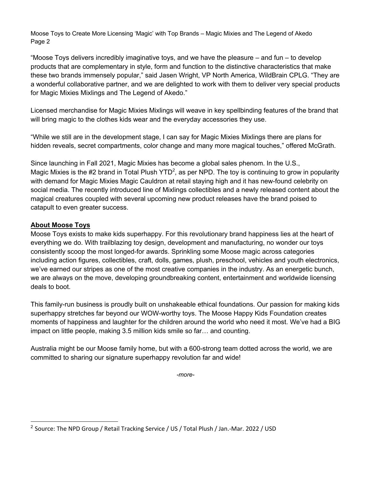Moose Toys to Create More Licensing 'Magic' with Top Brands – Magic Mixies and The Legend of Akedo Page 2

"Moose Toys delivers incredibly imaginative toys, and we have the pleasure – and fun – to develop products that are complementary in style, form and function to the distinctive characteristics that make these two brands immensely popular," said Jasen Wright, VP North America, WildBrain CPLG. "They are a wonderful collaborative partner, and we are delighted to work with them to deliver very special products for Magic Mixies Mixlings and The Legend of Akedo."

Licensed merchandise for Magic Mixies Mixlings will weave in key spellbinding features of the brand that will bring magic to the clothes kids wear and the everyday accessories they use.

"While we still are in the development stage, I can say for Magic Mixies Mixlings there are plans for hidden reveals, secret compartments, color change and many more magical touches," offered McGrath.

Since launching in Fall 2021, Magic Mixies has become a global sales phenom. In the U.S., Magic Mixies is the #2 brand in Total Plush YTD<sup>2</sup>, as per NPD. The toy is continuing to grow in popularity with demand for Magic Mixies Magic Cauldron at retail staying high and it has new-found celebrity on social media. The recently introduced line of Mixlings collectibles and a newly released content about the magical creatures coupled with several upcoming new product releases have the brand poised to catapult to even greater success.

## **About Moose Toys**

Moose Toys exists to make kids superhappy. For this revolutionary brand happiness lies at the heart of everything we do. With trailblazing toy design, development and manufacturing, no wonder our toys consistently scoop the most longed-for awards. Sprinkling some Moose magic across categories including action figures, collectibles, craft, dolls, games, plush, preschool, vehicles and youth electronics, we've earned our stripes as one of the most creative companies in the industry. As an energetic bunch, we are always on the move, developing groundbreaking content, entertainment and worldwide licensing deals to boot.

This family-run business is proudly built on unshakeable ethical foundations. Our passion for making kids superhappy stretches far beyond our WOW-worthy toys. The Moose Happy Kids Foundation creates moments of happiness and laughter for the children around the world who need it most. We've had a BIG impact on little people, making 3.5 million kids smile so far… and counting.

Australia might be our Moose family home, but with a 600-strong team dotted across the world, we are committed to sharing our signature superhappy revolution far and wide!

*-more-*

 $^2$  Source: The NPD Group / Retail Tracking Service / US / Total Plush / Jan.-Mar. 2022 / USD